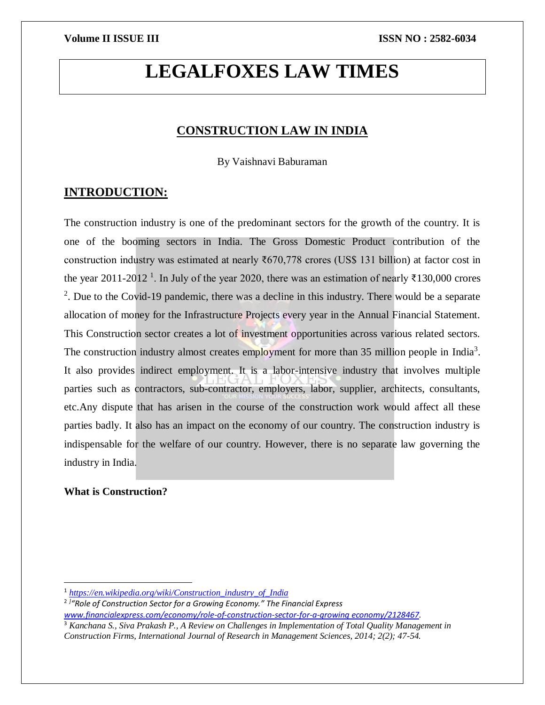# **LEGALFOXES LAW TIMES**

## **CONSTRUCTION LAW IN INDIA**

By Vaishnavi Baburaman

### **INTRODUCTION:**

The construction industry is one of the predominant sectors for the growth of the country. It is one of the booming sectors in India. The Gross Domestic Product contribution of the construction industry was estimated at nearly ₹670,778 crores (US\$ 131 billion) at factor cost in the year 2011-2012<sup>1</sup>. In July of the year 2020, there was an estimation of nearly ₹130,000 crores <sup>2</sup>. Due to the Covid-19 pandemic, there was a decline in this industry. There would be a separate allocation of money for the Infrastructure Projects every year in the Annual Financial Statement. This Construction sector creates a lot of investment opportunities across various related sectors. The construction industry almost creates employment for more than 35 million people in India<sup>3</sup>. It also provides indirect employment. It is a labor-intensive industry that involves multiple parties such as contractors, sub-contractor, employers, labor, supplier, architects, consultants, etc.Any dispute that has arisen in the course of the construction work would affect all these parties badly. It also has an impact on the economy of our country. The construction industry is indispensable for the welfare of our country. However, there is no separate law governing the industry in India.

### **What is Construction?**

 $\overline{a}$ 

<sup>1</sup> *[https://en.wikipedia.org/wiki/Construction\\_industry\\_of\\_India](https://en.wikipedia.org/wiki/Construction_industry_of_India)*

<sup>2</sup> *] "Role of Construction Sector for a Growing Economy." The Financial Express* 

*[www.financialexpress.com/economy/role-of-construction-sector-for-a-growing economy/2128467.](http://www.financialexpress.com/economy/role-of-construction-sector-for-a-growing%20economy/2128467)*

<sup>3</sup> *Kanchana S., Siva Prakash P., A Review on Challenges in Implementation of Total Quality Management in Construction Firms, International Journal of Research in Management Sciences, 2014; 2(2); 47-54.*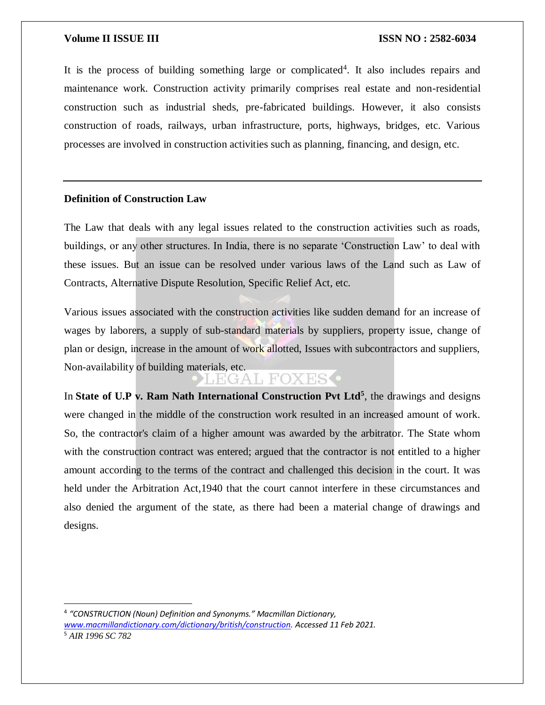It is the process of building something large or complicated<sup>4</sup>. It also includes repairs and maintenance work. Construction activity primarily comprises real estate and non-residential construction such as industrial sheds, pre-fabricated buildings. However, it also consists construction of roads, railways, urban infrastructure, ports, highways, bridges, etc. Various processes are involved in construction activities such as planning, financing, and design, etc.

### **Definition of Construction Law**

 $\overline{a}$ 

The Law that deals with any legal issues related to the construction activities such as roads, buildings, or any other structures. In India, there is no separate 'Construction Law' to deal with these issues. But an issue can be resolved under various laws of the Land such as Law of Contracts, Alternative Dispute Resolution, Specific Relief Act, etc.

Various issues associated with the construction activities like sudden demand for an increase of wages by laborers, a supply of sub-standard materials by suppliers, property issue, change of plan or design, increase in the amount of work allotted, Issues with subcontractors and suppliers, Non-availability of building materials, etc.<br>
FGAL FOXES

In State of U.P v. Ram Nath International Construction Pvt Ltd<sup>5</sup>, the drawings and designs were changed in the middle of the construction work resulted in an increased amount of work. So, the contractor's claim of a higher amount was awarded by the arbitrator. The State whom with the construction contract was entered; argued that the contractor is not entitled to a higher amount according to the terms of the contract and challenged this decision in the court. It was held under the Arbitration Act,1940 that the court cannot interfere in these circumstances and also denied the argument of the state, as there had been a material change of drawings and designs.

<sup>4</sup> *"CONSTRUCTION (Noun) Definition and Synonyms." Macmillan Dictionary, [www.macmillandictionary.com/dictionary/british/construction.](http://www.macmillandictionary.com/dictionary/british/construction) Accessed 11 Feb 2021.* <sup>5</sup> *AIR 1996 SC 782*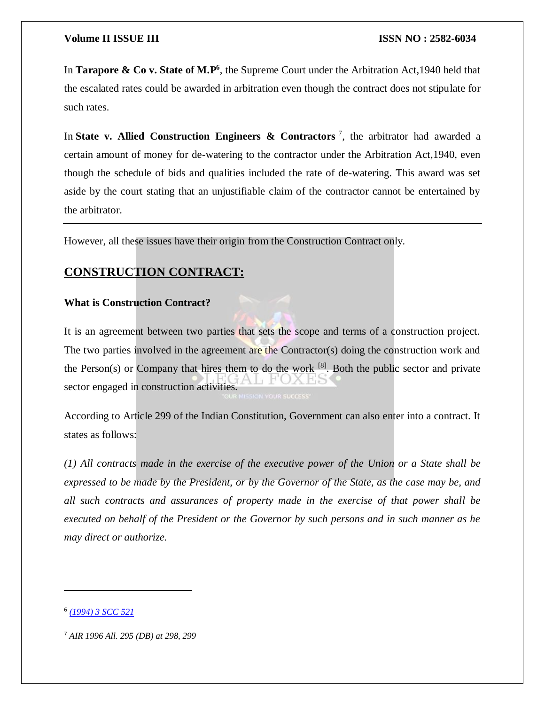In **Tarapore & Co v. State of M.P**<sup>6</sup>, the Supreme Court under the Arbitration Act, 1940 held that the escalated rates could be awarded in arbitration even though the contract does not stipulate for such rates.

In **State v. Allied Construction Engineers & Contractors**<sup>7</sup>, the arbitrator had awarded a certain amount of money for de-watering to the contractor under the Arbitration Act,1940, even though the schedule of bids and qualities included the rate of de-watering. This award was set aside by the court stating that an unjustifiable claim of the contractor cannot be entertained by the arbitrator.

However, all these issues have their origin from the Construction Contract only.

# **CONSTRUCTION CONTRACT:**

### **What is Construction Contract?**

It is an agreement between two parties that sets the scope and terms of a construction project. The two parties involved in the agreement are the Contractor(s) doing the construction work and the Person(s) or Company that hires them to do the work  $^{[8]}$ . Both the public sector and private sector engaged in construction activities.

According to Article 299 of the Indian Constitution, Government can also enter into a contract. It states as follows:

*(1) All contracts made in the exercise of the executive power of the Union or a State shall be expressed to be made by the President, or by the Governor of the State, as the case may be, and all such contracts and assurances of property made in the exercise of that power shall be executed on behalf of the President or the Governor by such persons and in such manner as he may direct or authorize.*

 $\overline{\phantom{a}}$ 

<sup>6</sup> *[\(1994\)](http://www.scconline.com/DocumentLink/1KvsNcY1) 3 SCC 521*

<sup>7</sup> *AIR 1996 All. 295 (DB) at 298, 299*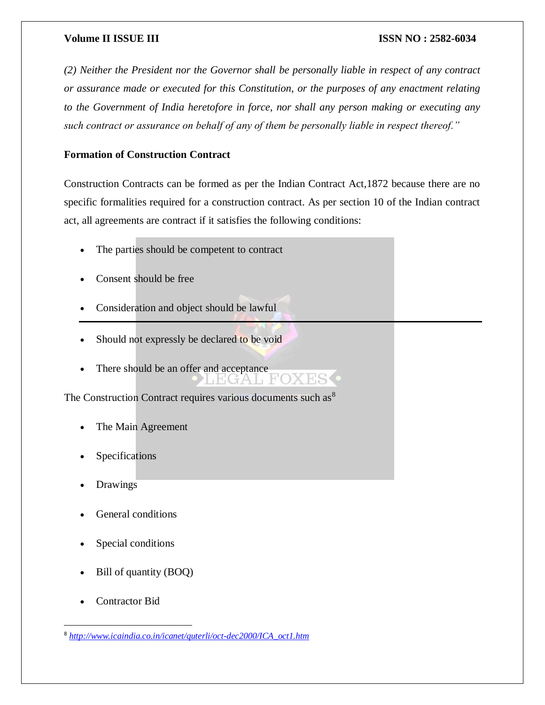*(2) Neither the President nor the Governor shall be personally liable in respect of any contract or assurance made or executed for this Constitution, or the purposes of any enactment relating to the Government of India heretofore in force, nor shall any person making or executing any such contract or assurance on behalf of any of them be personally liable in respect thereof."*

### **Formation of Construction Contract**

Construction Contracts can be formed as per the Indian Contract Act,1872 because there are no specific formalities required for a construction contract. As per section 10 of the Indian contract act, all agreements are contract if it satisfies the following conditions:

- The parties should be competent to contract
- Consent should be free
- Consideration and object should be lawful
- Should not expressly be declared to be void
- There should be an offer and acceptance

The Construction Contract requires various documents such as  $8$ 

- The Main Agreement
- Specifications
- Drawings
- General conditions
- Special conditions
- Bill of quantity (BOQ)
- Contractor Bid

 $\overline{a}$ 

<sup>8</sup> *[http://www.icaindia.co.in/icanet/quterli/oct-dec2000/ICA\\_oct1.htm](http://www.icaindia.co.in/icanet/quterli/oct-dec2000/ICA_oct1.htm)*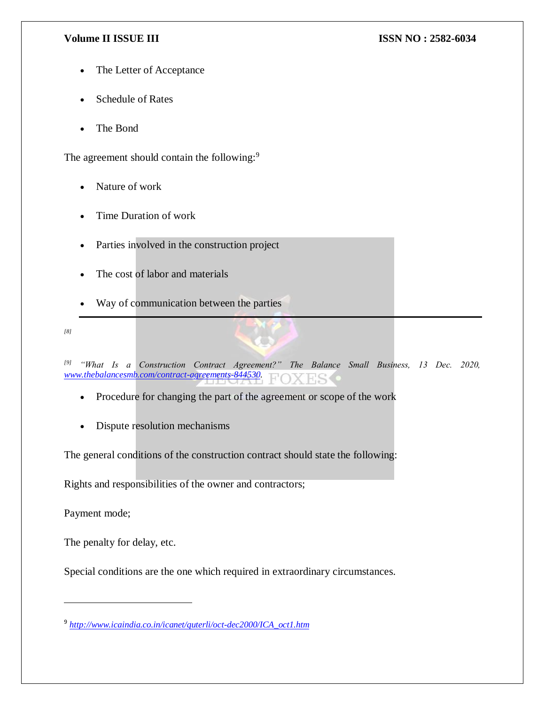- The Letter of Acceptance
- Schedule of Rates
- The Bond

The agreement should contain the following:<sup>9</sup>

- Nature of work
- Time Duration of work
- Parties involved in the construction project
- The cost of labor and materials
- Way of communication between the parties

*[8]*

*[9] "What Is a Construction Contract Agreement?" The Balance Small Business, 13 Dec. 2020, [www.thebalancesmb.com/contract-agreements-844530.](http://www.thebalancesmb.com/contract-agreements-844530)*

- Procedure for changing the part of the agreement or scope of the work
- Dispute resolution mechanisms

The general conditions of the construction contract should state the following:

Rights and responsibilities of the owner and contractors;

Payment mode;

 $\overline{\phantom{a}}$ 

The penalty for delay, etc.

Special conditions are the one which required in extraordinary circumstances.

<sup>9</sup> *[http://www.icaindia.co.in/icanet/quterli/oct-dec2000/ICA\\_oct1.htm](http://www.icaindia.co.in/icanet/quterli/oct-dec2000/ICA_oct1.htm)*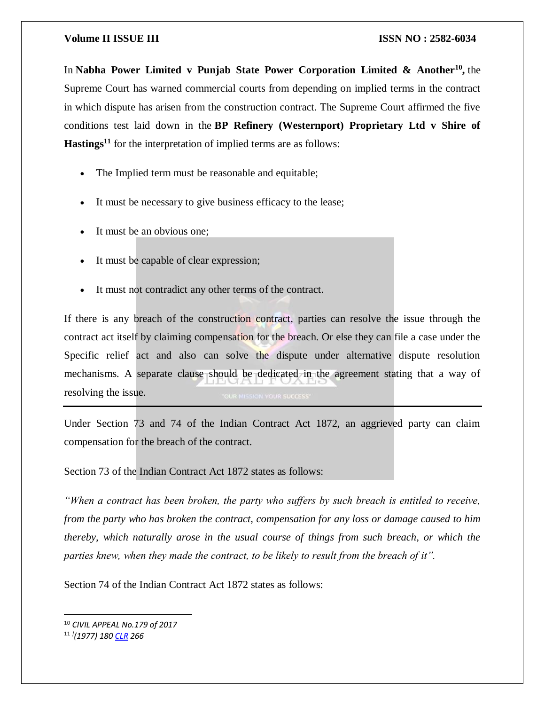In **Nabha Power Limited v Punjab State Power Corporation Limited & Another<sup>10</sup> ,** the Supreme Court has warned commercial courts from depending on implied terms in the contract in which dispute has arisen from the construction contract. The Supreme Court affirmed the five conditions test laid down in the **BP Refinery (Westernport) Proprietary Ltd v Shire of Hastings<sup>11</sup>** for the interpretation of implied terms are as follows:

- The Implied term must be reasonable and equitable;
- It must be necessary to give business efficacy to the lease;
- It must be an obvious one;
- It must be capable of clear expression;
- It must not contradict any other terms of the contract.

If there is any breach of the construction contract, parties can resolve the issue through the contract act itself by claiming compensation for the breach. Or else they can file a case under the Specific relief act and also can solve the dispute under alternative dispute resolution mechanisms. A separate clause should be dedicated in the agreement stating that a way of resolving the issue.

Under Section 73 and 74 of the Indian Contract Act 1872, an aggrieved party can claim compensation for the breach of the contract.

### Section 73 of the Indian Contract Act 1872 states as follows:

*"When a contract has been broken, the party who suffers by such breach is entitled to receive, from the party who has broken the contract, compensation for any loss or damage caused to him thereby, which naturally arose in the usual course of things from such breach, or which the parties knew, when they made the contract, to be likely to result from the breach of it".*

Section 74 of the Indian Contract Act 1872 states as follows:

 $\overline{\phantom{a}}$ 

<sup>10</sup> *CIVIL APPEAL No.179 of 2017*

<sup>11</sup> *] (1977) 180 [CLR](https://www.google.com/search?q=CLR&stick=H4sIAAAAAAAAAONgVuLUz9U3MDVMqTBcxMrs7BMEAN5mUPITAAAA&sa=X&ved=2ahUKEwjOisup8t7uAhXCgeYKHZpUCTcQmxMoATAPegQIFRAD) 266*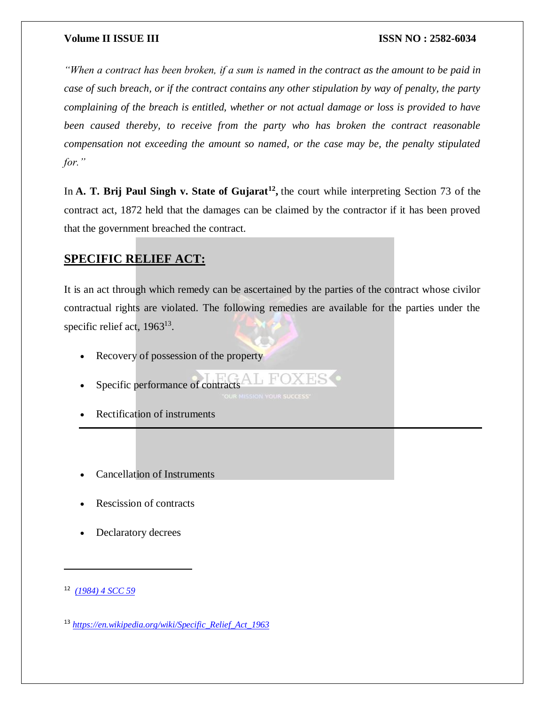*"When a contract has been broken, if a sum is named in the contract as the amount to be paid in case of such breach, or if the contract contains any other stipulation by way of penalty, the party complaining of the breach is entitled, whether or not actual damage or loss is provided to have been caused thereby, to receive from the party who has broken the contract reasonable compensation not exceeding the amount so named, or the case may be, the penalty stipulated for."*

In **A. T. Brij Paul Singh v. State of Gujarat<sup>12</sup>, the court while interpreting Section 73 of the** contract act, 1872 held that the damages can be claimed by the contractor if it has been proved that the government breached the contract.

# **SPECIFIC RELIEF ACT:**

It is an act through which remedy can be ascertained by the parties of the contract whose civilor contractual rights are violated. The following remedies are available for the parties under the specific relief act, 1963<sup>13</sup>.

- Recovery of possession of the property
- Specific performance of contracts
- Rectification of instruments
- Cancellation of Instruments
- Rescission of contracts
- Declaratory decrees

 $\overline{a}$ 

<sup>12</sup> *[\(1984\)](http://www.scconline.com/DocumentLink/IQtuKt12) 4 SCC 59*

<sup>13</sup> *[https://en.wikipedia.org/wiki/Specific\\_Relief\\_Act\\_1963](https://en.wikipedia.org/wiki/Specific_Relief_Act_1963)*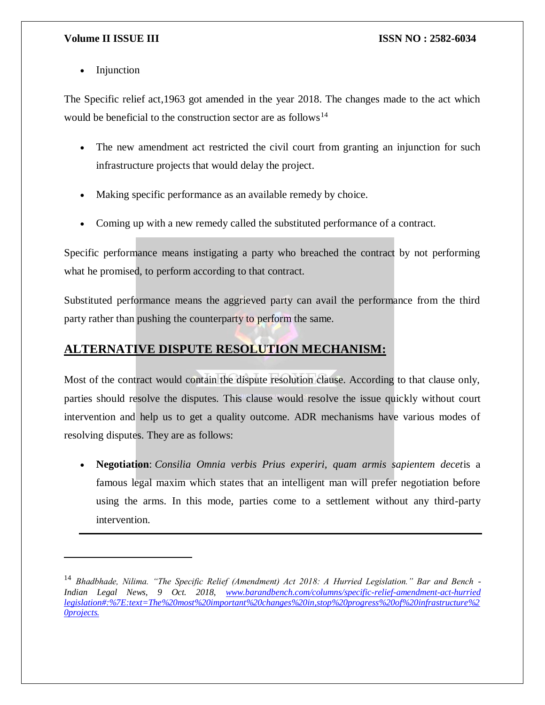Injunction

 $\overline{a}$ 

The Specific relief act,1963 got amended in the year 2018. The changes made to the act which would be beneficial to the construction sector are as follows<sup>14</sup>

- The new amendment act restricted the civil court from granting an injunction for such infrastructure projects that would delay the project.
- Making specific performance as an available remedy by choice.
- Coming up with a new remedy called the substituted performance of a contract.

Specific performance means instigating a party who breached the contract by not performing what he promised, to perform according to that contract.

Substituted performance means the aggrieved party can avail the performance from the third party rather than pushing the counterparty to perform the same.

# **ALTERNATIVE DISPUTE RESOLUTION MECHANISM:**

Most of the contract would contain the dispute resolution clause. According to that clause only, parties should resolve the disputes. This clause would resolve the issue quickly without court intervention and help us to get a quality outcome. ADR mechanisms have various modes of resolving disputes. They are as follows:

 **Negotiation**: *Consilia Omnia verbis Prius experiri, quam armis sapientem decet*is a famous legal maxim which states that an intelligent man will prefer negotiation before using the arms. In this mode, parties come to a settlement without any third-party intervention.

<sup>14</sup> *Bhadbhade, Nilima. "The Specific Relief (Amendment) Act 2018: A Hurried Legislation." Bar and Bench - Indian Legal News, 9 Oct. 2018, [www.barandbench.com/columns/specific-relief-amendment-act-hurried](www.barandbench.com/columns/specific-relief-amendment-act-hurried%20legislation%23:%7E:text=The%20most%20important%20changes%20in,stop%20progress%20of%20infrastructure%20projects.)  [legislation#:%7E:text=The%20most%20important%20changes%20in,stop%20progress%20of%20infrastructure%2](www.barandbench.com/columns/specific-relief-amendment-act-hurried%20legislation%23:%7E:text=The%20most%20important%20changes%20in,stop%20progress%20of%20infrastructure%20projects.) [0projects.](www.barandbench.com/columns/specific-relief-amendment-act-hurried%20legislation%23:%7E:text=The%20most%20important%20changes%20in,stop%20progress%20of%20infrastructure%20projects.)*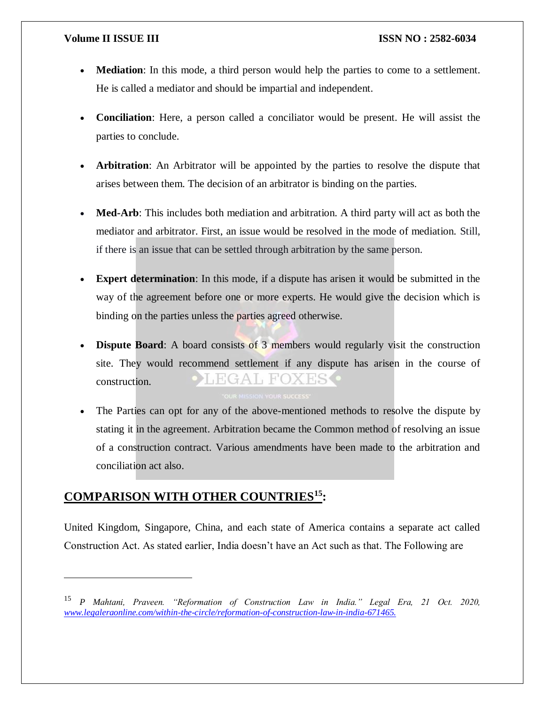- **Mediation**: In this mode, a third person would help the parties to come to a settlement. He is called a mediator and should be impartial and independent.
- **Conciliation**: Here, a person called a conciliator would be present. He will assist the parties to conclude.
- **Arbitration**: An Arbitrator will be appointed by the parties to resolve the dispute that arises between them. The decision of an arbitrator is binding on the parties.
- **Med-Arb**: This includes both mediation and arbitration. A third party will act as both the mediator and arbitrator. First, an issue would be resolved in the mode of mediation. Still, if there is an issue that can be settled through arbitration by the same person.
- **Expert determination**: In this mode, if a dispute has arisen it would be submitted in the way of the agreement before one or more experts. He would give the decision which is binding on the parties unless the parties agreed otherwise.
- **Dispute Board:** A board consists of 3 members would regularly visit the construction site. They would recommend settlement if any dispute has arisen in the course of HGAL FOXESS construction.
- The Parties can opt for any of the above-mentioned methods to resolve the dispute by stating it in the agreement. Arbitration became the Common method of resolving an issue of a construction contract. Various amendments have been made to the arbitration and conciliation act also.

# **COMPARISON WITH OTHER COUNTRIES<sup>15</sup>:**

 $\overline{a}$ 

United Kingdom, Singapore, China, and each state of America contains a separate act called Construction Act. As stated earlier, India doesn't have an Act such as that. The Following are

<sup>15</sup> *P Mahtani, Praveen. "Reformation of Construction Law in India." Legal Era, 21 Oct. 2020, <www.legaleraonline.com/within-the-circle/reformation-of-construction-law-in-india-671465.>*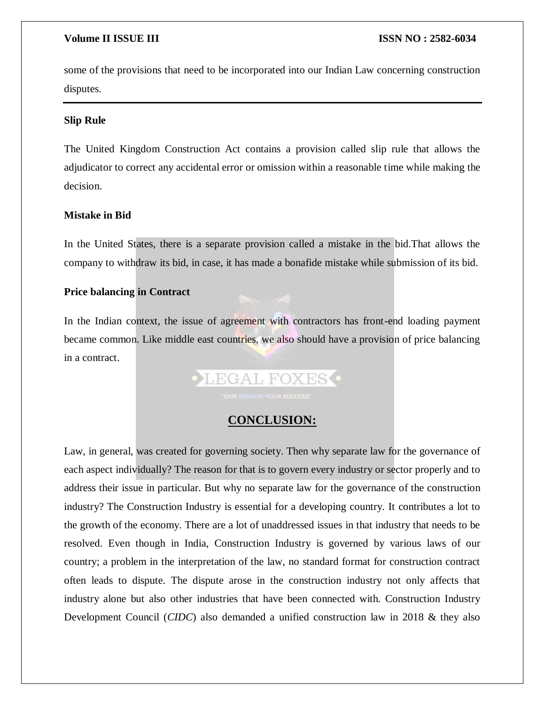some of the provisions that need to be incorporated into our Indian Law concerning construction disputes.

### **Slip Rule**

The United Kingdom Construction Act contains a provision called slip rule that allows the adjudicator to correct any accidental error or omission within a reasonable time while making the decision.

### **Mistake in Bid**

In the United States, there is a separate provision called a mistake in the bid.That allows the company to withdraw its bid, in case, it has made a bonafide mistake while submission of its bid.

### **Price balancing in Contract**

In the Indian context, the issue of agreement with contractors has front-end loading payment became common. Like middle east countries, we also should have a provision of price balancing in a contract.



### **CONCLUSION:**

Law, in general, was created for governing society. Then why separate law for the governance of each aspect individually? The reason for that is to govern every industry or sector properly and to address their issue in particular. But why no separate law for the governance of the construction industry? The Construction Industry is essential for a developing country. It contributes a lot to the growth of the economy. There are a lot of unaddressed issues in that industry that needs to be resolved. Even though in India, Construction Industry is governed by various laws of our country; a problem in the interpretation of the law, no standard format for construction contract often leads to dispute. The dispute arose in the construction industry not only affects that industry alone but also other industries that have been connected with. Construction Industry Development Council (*CIDC*) also demanded a unified construction law in 2018 & they also